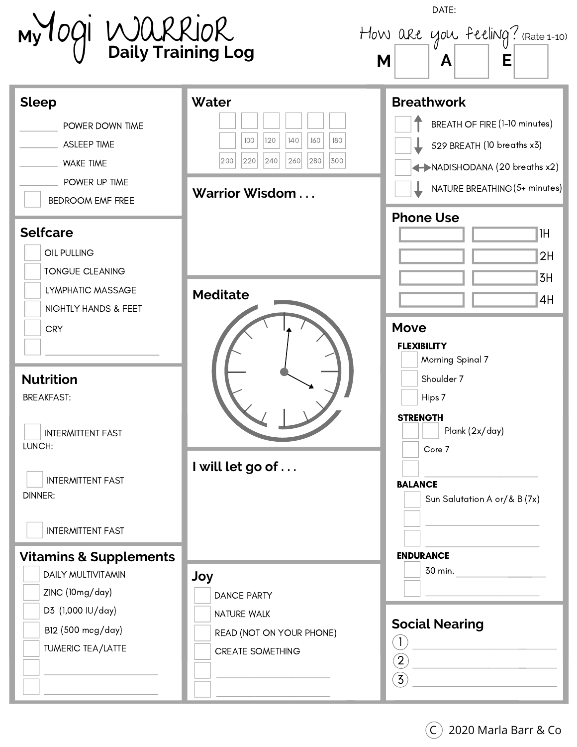| My OGI WORRIOR<br>Daily Training Log                                                                                                             |                                                                                                          | DATE:<br>How are you feeling? (Rate 1-10)<br>M<br>Е<br>A                                                                                                             |
|--------------------------------------------------------------------------------------------------------------------------------------------------|----------------------------------------------------------------------------------------------------------|----------------------------------------------------------------------------------------------------------------------------------------------------------------------|
| <b>Sleep</b><br>POWER DOWN TIME<br><b>ASLEEP TIME</b><br><b>WAKE TIME</b><br>POWER UP TIME<br><b>BEDROOM EMF FREE</b>                            | Water<br>100<br>120<br>140<br>160<br>180<br> 240 <br> 280 <br>220<br>260<br>300<br>200<br>Warrior Wisdom | <b>Breathwork</b><br>BREATH OF FIRE (1-10 minutes)<br>529 BREATH (10 breaths x3)<br>NADISHODANA (20 breaths x2)<br>NATURE BREATHING (5+ minutes)<br><b>Phone Use</b> |
| <b>Selfcare</b><br>OIL PULLING<br><b>TONGUE CLEANING</b><br>LYMPHATIC MASSAGE<br>NIGHTLY HANDS & FEET<br><b>CRY</b>                              | <b>Meditate</b>                                                                                          | 1H<br>2H<br>3H<br>4H<br><b>Move</b>                                                                                                                                  |
| <b>Nutrition</b><br><b>BREAKFAST:</b><br><b>INTERMITTENT FAST</b><br>LUNCH:                                                                      |                                                                                                          | <b>FLEXIBILITY</b><br>Morning Spinal 7<br>Shoulder 7<br>Hips 7<br><b>STRENGTH</b><br>Plank (2x/day)                                                                  |
| <b>INTERMITTENT FAST</b><br><b>DINNER:</b><br><b>INTERMITTENT FAST</b>                                                                           | I will let go of                                                                                         | Core 7<br><b>BALANCE</b><br>Sun Salutation A or/& B (7x)                                                                                                             |
| <b>Vitamins &amp; Supplements</b><br>DAILY MULTIVITAMIN<br>ZINC (10mg/day)<br>D3 (1,000 IU/day)<br>B12 (500 mcg/day)<br><b>TUMERIC TEA/LATTE</b> | Joy<br><b>DANCE PARTY</b><br>NATURE WALK<br>READ (NOT ON YOUR PHONE)<br><b>CREATE SOMETHING</b>          | <b>ENDURANCE</b><br>30 min.<br><b>Social Nearing</b><br>(1)<br>$\overline{2}$<br>$\ddot{5}$                                                                          |